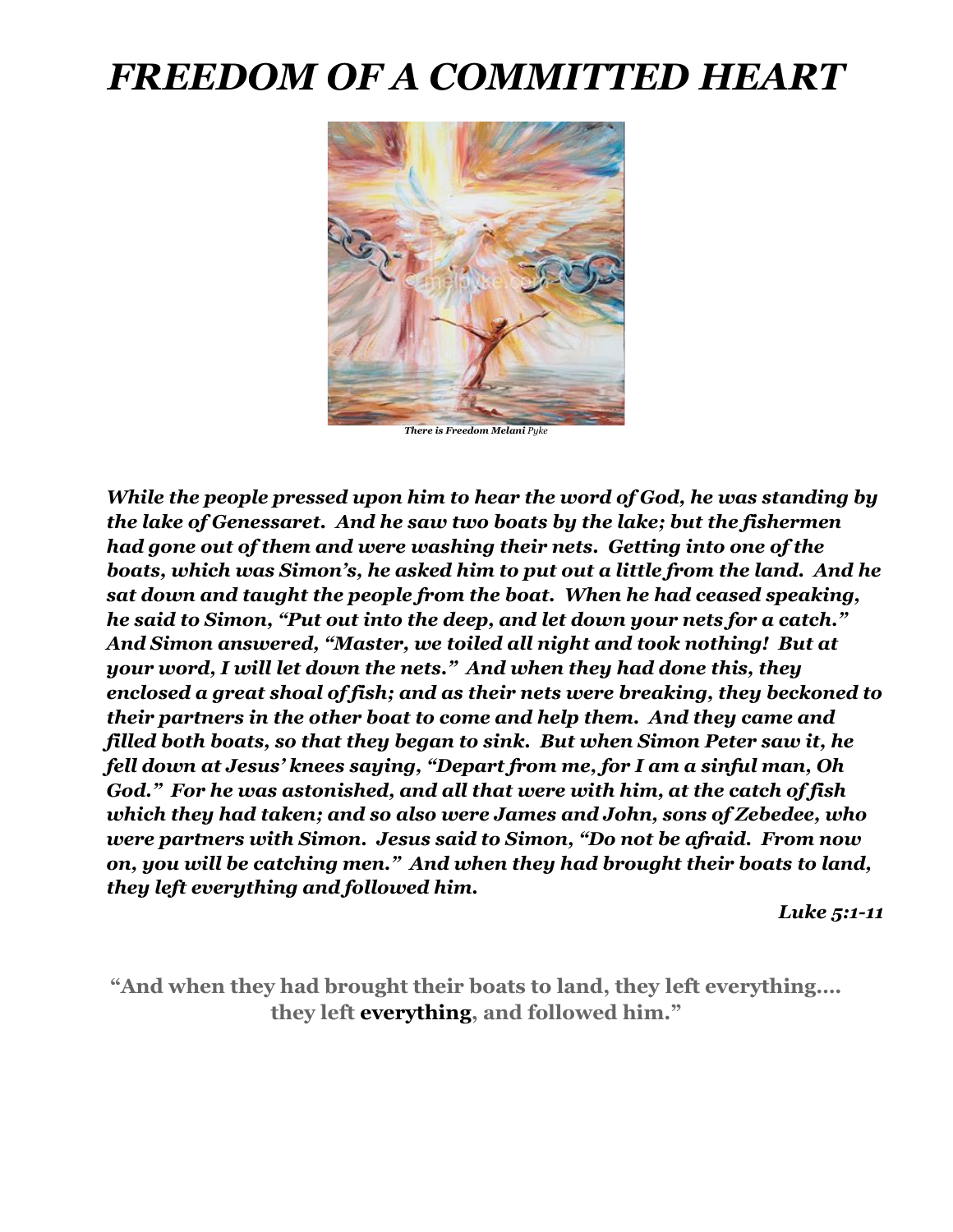# *FREEDOM OF A COMMITTED HEART*



*There is Freedom Melani Pyke*

*While the people pressed upon him to hear the word of God, he was standing by the lake of Genessaret. And he saw two boats by the lake; but the fishermen had gone out of them and were washing their nets. Getting into one of the boats, which was Simon's, he asked him to put out a little from the land. And he sat down and taught the people from the boat. When he had ceased speaking, he said to Simon, "Put out into the deep, and let down your nets for a catch." And Simon answered, "Master, we toiled all night and took nothing! But at your word, I will let down the nets." And when they had done this, they enclosed a great shoal of fish; and as their nets were breaking, they beckoned to their partners in the other boat to come and help them. And they came and filled both boats, so that they began to sink. But when Simon Peter saw it, he fell down at Jesus' knees saying, "Depart from me, for I am a sinful man, Oh God." For he was astonished, and all that were with him, at the catch of fish which they had taken; and so also were James and John, sons of Zebedee, who were partners with Simon. Jesus said to Simon, "Do not be afraid. From now on, you will be catching men." And when they had brought their boats to land, they left everything and followed him.*

 *Luke 5:1-11*

**"And when they had brought their boats to land, they left everything…. they left everything, and followed him."**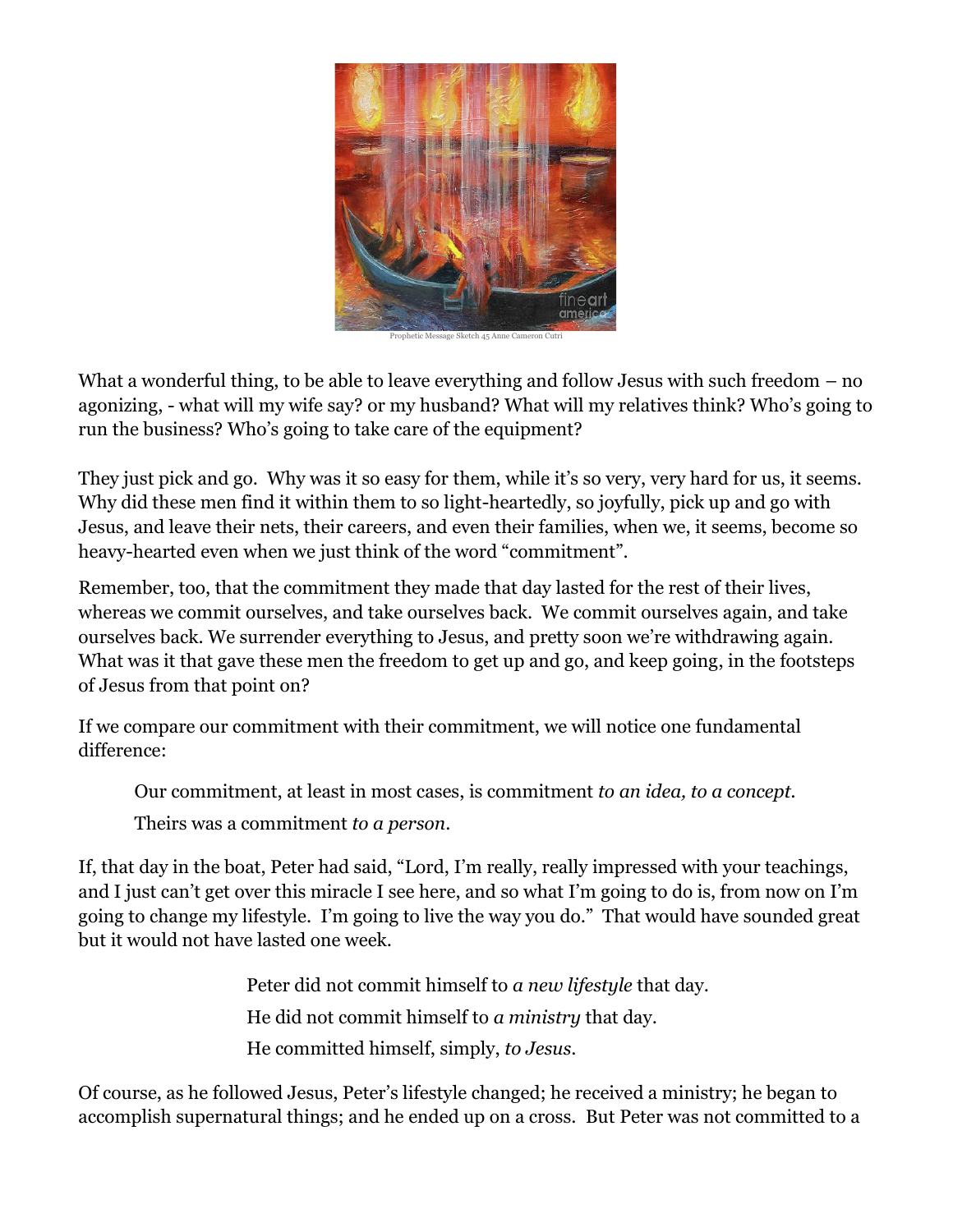

Prophetic Message Sketch 45 Anne Cameron Cu

What a wonderful thing, to be able to leave everything and follow Jesus with such freedom – no agonizing, - what will my wife say? or my husband? What will my relatives think? Who's going to run the business? Who's going to take care of the equipment?

They just pick and go. Why was it so easy for them, while it's so very, very hard for us, it seems. Why did these men find it within them to so light-heartedly, so joyfully, pick up and go with Jesus, and leave their nets, their careers, and even their families, when we, it seems, become so heavy-hearted even when we just think of the word "commitment".

Remember, too, that the commitment they made that day lasted for the rest of their lives, whereas we commit ourselves, and take ourselves back. We commit ourselves again, and take ourselves back. We surrender everything to Jesus, and pretty soon we're withdrawing again. What was it that gave these men the freedom to get up and go, and keep going, in the footsteps of Jesus from that point on?

If we compare our commitment with their commitment, we will notice one fundamental difference:

Our commitment, at least in most cases, is commitment *to an idea, to a concept.*  Theirs was a commitment *to a person*.

If, that day in the boat, Peter had said, "Lord, I'm really, really impressed with your teachings, and I just can't get over this miracle I see here, and so what I'm going to do is, from now on I'm going to change my lifestyle. I'm going to live the way you do." That would have sounded great but it would not have lasted one week.

> Peter did not commit himself to *a new lifestyle* that day. He did not commit himself to *a ministry* that day. He committed himself, simply, *to Jesus*.

Of course, as he followed Jesus, Peter's lifestyle changed; he received a ministry; he began to accomplish supernatural things; and he ended up on a cross. But Peter was not committed to a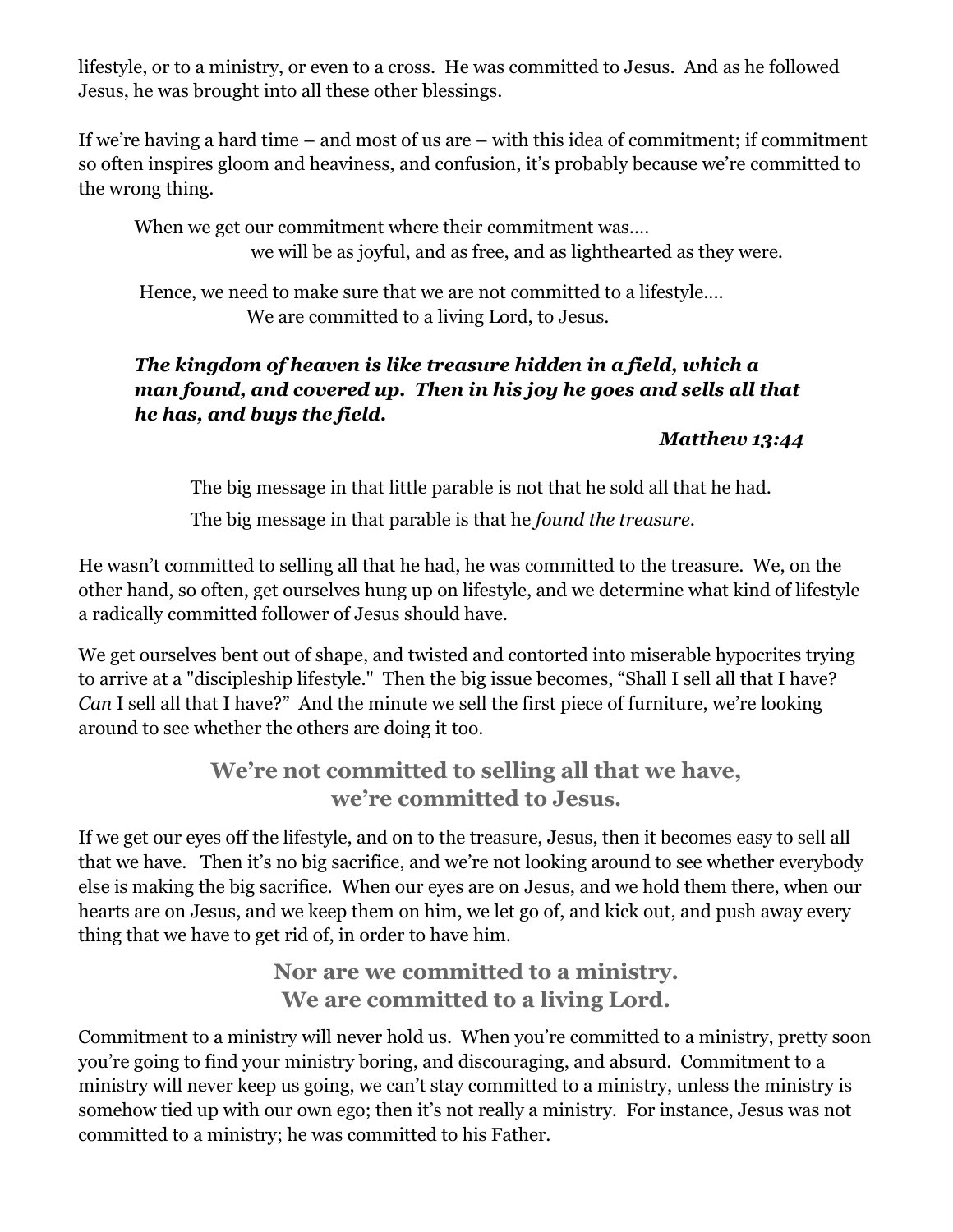lifestyle, or to a ministry, or even to a cross. He was committed to Jesus. And as he followed Jesus, he was brought into all these other blessings.

If we're having a hard time – and most of us are – with this idea of commitment; if commitment so often inspires gloom and heaviness, and confusion, it's probably because we're committed to the wrong thing.

When we get our commitment where their commitment was.... we will be as joyful, and as free, and as lighthearted as they were.

Hence, we need to make sure that we are not committed to a lifestyle.... We are committed to a living Lord, to Jesus.

## *The kingdom of heaven is like treasure hidden in a field, which a man found, and covered up. Then in his joy he goes and sells all that he has, and buys the field.*

## *Matthew 13:44*

The big message in that little parable is not that he sold all that he had.

The big message in that parable is that he *found the treasure*.

He wasn't committed to selling all that he had, he was committed to the treasure. We, on the other hand, so often, get ourselves hung up on lifestyle, and we determine what kind of lifestyle a radically committed follower of Jesus should have.

We get ourselves bent out of shape, and twisted and contorted into miserable hypocrites trying to arrive at a "discipleship lifestyle." Then the big issue becomes, "Shall I sell all that I have? *Can* I sell all that I have?" And the minute we sell the first piece of furniture, we're looking around to see whether the others are doing it too.

# **We're not committed to selling all that we have, we're committed to Jesus.**

If we get our eyes off the lifestyle, and on to the treasure, Jesus, then it becomes easy to sell all that we have. Then it's no big sacrifice, and we're not looking around to see whether everybody else is making the big sacrifice. When our eyes are on Jesus, and we hold them there, when our hearts are on Jesus, and we keep them on him, we let go of, and kick out, and push away every thing that we have to get rid of, in order to have him.

> **Nor are we committed to a ministry. We are committed to a living Lord.**

Commitment to a ministry will never hold us. When you're committed to a ministry, pretty soon you're going to find your ministry boring, and discouraging, and absurd. Commitment to a ministry will never keep us going, we can't stay committed to a ministry, unless the ministry is somehow tied up with our own ego; then it's not really a ministry. For instance, Jesus was not committed to a ministry; he was committed to his Father.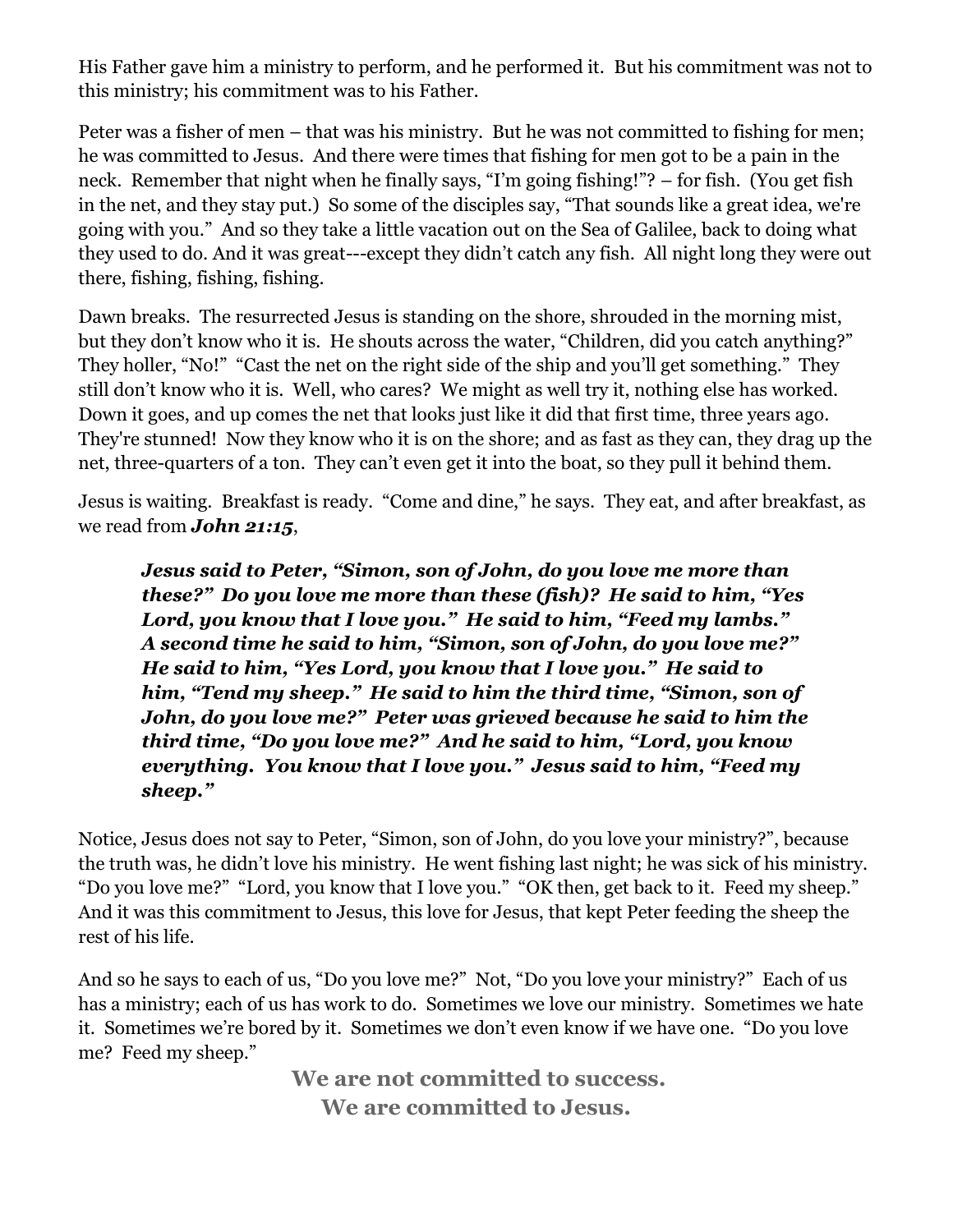His Father gave him a ministry to perform, and he performed it. But his commitment was not to this ministry; his commitment was to his Father.

Peter was a fisher of men – that was his ministry. But he was not committed to fishing for men; he was committed to Jesus. And there were times that fishing for men got to be a pain in the neck. Remember that night when he finally says, "I'm going fishing!"? – for fish. (You get fish in the net, and they stay put.) So some of the disciples say, "That sounds like a great idea, we're going with you." And so they take a little vacation out on the Sea of Galilee, back to doing what they used to do. And it was great---except they didn't catch any fish. All night long they were out there, fishing, fishing, fishing.

Dawn breaks. The resurrected Jesus is standing on the shore, shrouded in the morning mist, but they don't know who it is. He shouts across the water, "Children, did you catch anything?" They holler, "No!" "Cast the net on the right side of the ship and you'll get something." They still don't know who it is. Well, who cares? We might as well try it, nothing else has worked. Down it goes, and up comes the net that looks just like it did that first time, three years ago. They're stunned! Now they know who it is on the shore; and as fast as they can, they drag up the net, three-quarters of a ton. They can't even get it into the boat, so they pull it behind them.

Jesus is waiting. Breakfast is ready. "Come and dine," he says. They eat, and after breakfast, as we read from *John 21:15*,

*Jesus said to Peter, "Simon, son of John, do you love me more than these?" Do you love me more than these (fish)? He said to him, "Yes Lord, you know that I love you." He said to him, "Feed my lambs." A second time he said to him, "Simon, son of John, do you love me?" He said to him, "Yes Lord, you know that I love you." He said to him, "Tend my sheep." He said to him the third time, "Simon, son of John, do you love me?" Peter was grieved because he said to him the third time, "Do you love me?" And he said to him, "Lord, you know everything. You know that I love you." Jesus said to him, "Feed my sheep."*

Notice, Jesus does not say to Peter, "Simon, son of John, do you love your ministry?", because the truth was, he didn't love his ministry. He went fishing last night; he was sick of his ministry. "Do you love me?" "Lord, you know that I love you." "OK then, get back to it. Feed my sheep." And it was this commitment to Jesus, this love for Jesus, that kept Peter feeding the sheep the rest of his life.

And so he says to each of us, "Do you love me?" Not, "Do you love your ministry?" Each of us has a ministry; each of us has work to do. Sometimes we love our ministry. Sometimes we hate it. Sometimes we're bored by it. Sometimes we don't even know if we have one. "Do you love me? Feed my sheep."

> **We are not committed to success. We are committed to Jesus.**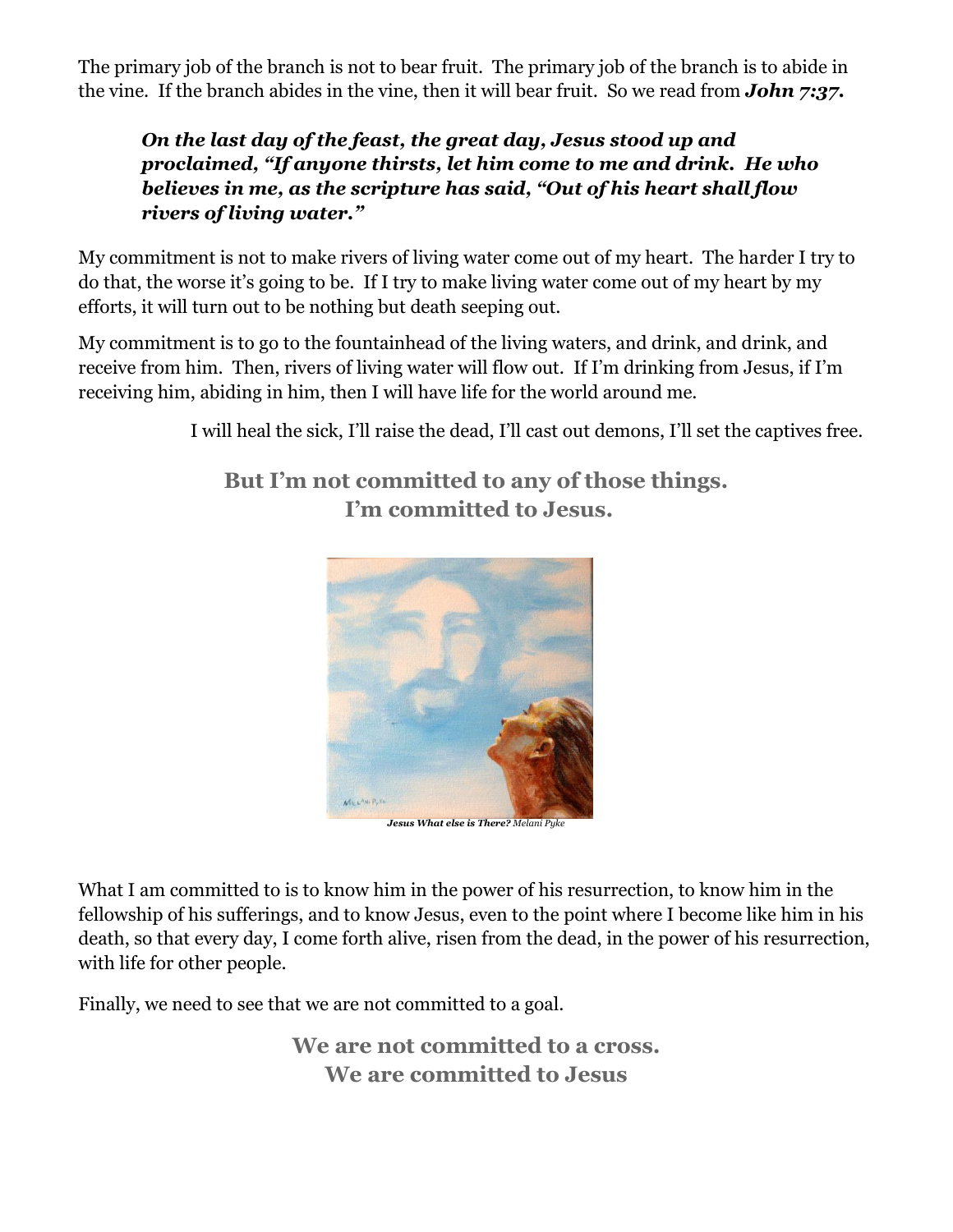The primary job of the branch is not to bear fruit. The primary job of the branch is to abide in the vine. If the branch abides in the vine, then it will bear fruit. So we read from *John 7:37.*

## *On the last day of the feast, the great day, Jesus stood up and proclaimed, "If anyone thirsts, let him come to me and drink. He who believes in me, as the scripture has said, "Out of his heart shall flow rivers of living water."*

My commitment is not to make rivers of living water come out of my heart. The harder I try to do that, the worse it's going to be. If I try to make living water come out of my heart by my efforts, it will turn out to be nothing but death seeping out.

My commitment is to go to the fountainhead of the living waters, and drink, and drink, and receive from him. Then, rivers of living water will flow out. If I'm drinking from Jesus, if I'm receiving him, abiding in him, then I will have life for the world around me.

I will heal the sick, I'll raise the dead, I'll cast out demons, I'll set the captives free.

**But I'm not committed to any of those things. I'm committed to Jesus.** 



*Jesus What else is There? Melani Pyke*

What I am committed to is to know him in the power of his resurrection, to know him in the fellowship of his sufferings, and to know Jesus, even to the point where I become like him in his death, so that every day, I come forth alive, risen from the dead, in the power of his resurrection, with life for other people.

Finally, we need to see that we are not committed to a goal.

**We are not committed to a cross. We are committed to Jesus**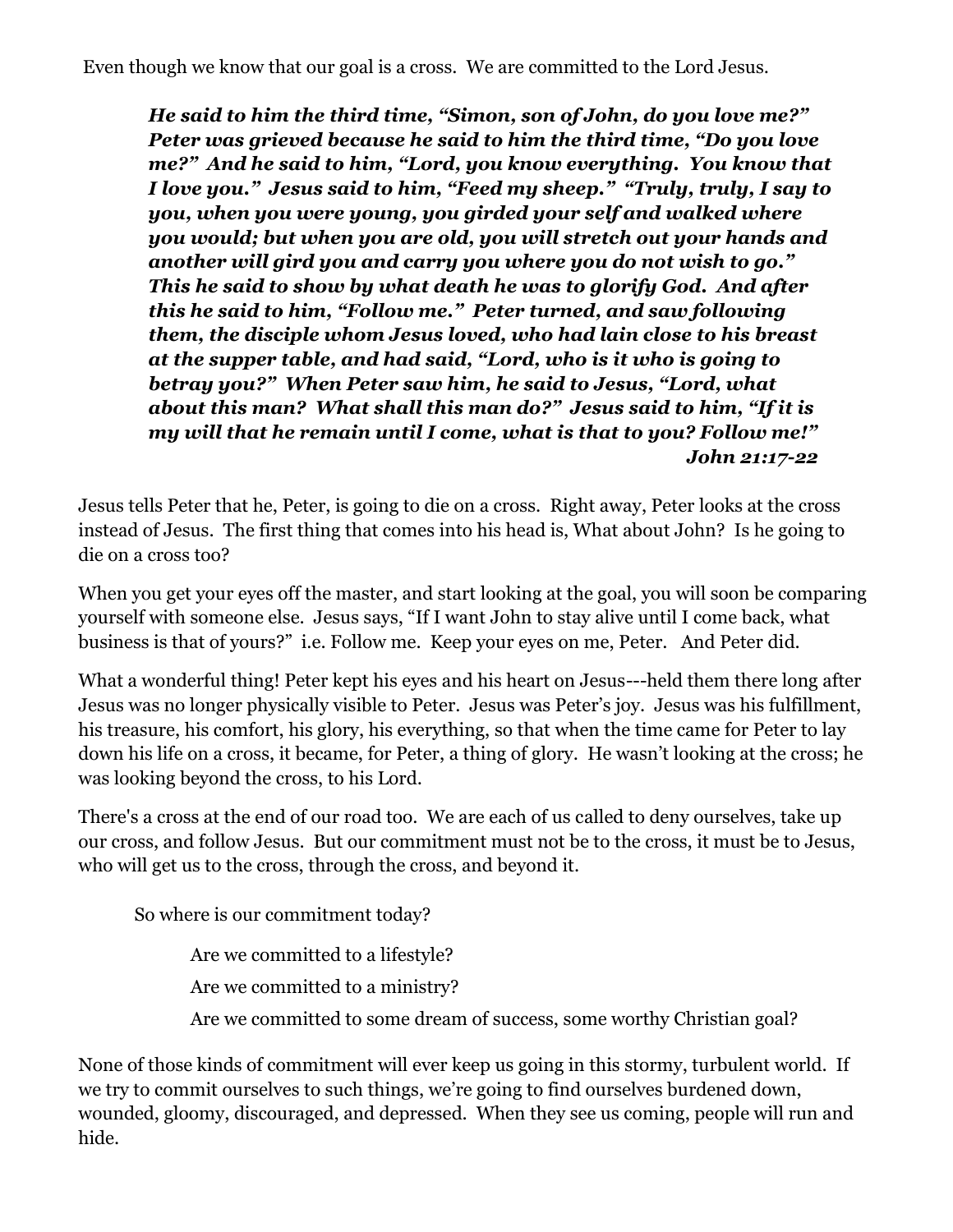*He said to him the third time, "Simon, son of John, do you love me?" Peter was grieved because he said to him the third time, "Do you love me?" And he said to him, "Lord, you know everything. You know that I love you." Jesus said to him, "Feed my sheep." "Truly, truly, I say to you, when you were young, you girded your self and walked where you would; but when you are old, you will stretch out your hands and another will gird you and carry you where you do not wish to go." This he said to show by what death he was to glorify God. And after this he said to him, "Follow me." Peter turned, and saw following them, the disciple whom Jesus loved, who had lain close to his breast at the supper table, and had said, "Lord, who is it who is going to betray you?" When Peter saw him, he said to Jesus, "Lord, what about this man? What shall this man do?" Jesus said to him, "If it is my will that he remain until I come, what is that to you? Follow me!" John 21:17-22*

Jesus tells Peter that he, Peter, is going to die on a cross. Right away, Peter looks at the cross instead of Jesus. The first thing that comes into his head is, What about John? Is he going to die on a cross too?

When you get your eyes off the master, and start looking at the goal, you will soon be comparing yourself with someone else. Jesus says, "If I want John to stay alive until I come back, what business is that of yours?" i.e. Follow me. Keep your eyes on me, Peter. And Peter did.

What a wonderful thing! Peter kept his eyes and his heart on Jesus---held them there long after Jesus was no longer physically visible to Peter. Jesus was Peter's joy. Jesus was his fulfillment, his treasure, his comfort, his glory, his everything, so that when the time came for Peter to lay down his life on a cross, it became, for Peter, a thing of glory. He wasn't looking at the cross; he was looking beyond the cross, to his Lord.

There's a cross at the end of our road too. We are each of us called to deny ourselves, take up our cross, and follow Jesus. But our commitment must not be to the cross, it must be to Jesus, who will get us to the cross, through the cross, and beyond it.

So where is our commitment today?

Are we committed to a lifestyle? Are we committed to a ministry? Are we committed to some dream of success, some worthy Christian goal?

None of those kinds of commitment will ever keep us going in this stormy, turbulent world. If we try to commit ourselves to such things, we're going to find ourselves burdened down, wounded, gloomy, discouraged, and depressed. When they see us coming, people will run and hide.